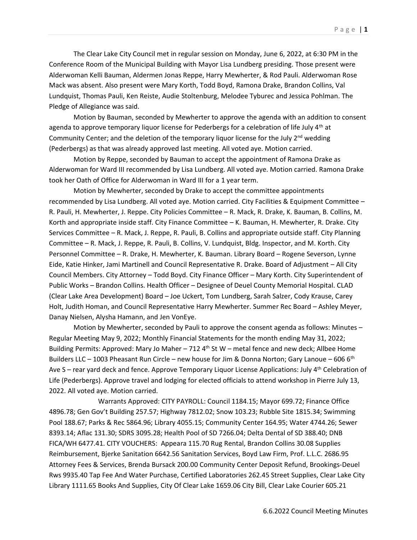The Clear Lake City Council met in regular session on Monday, June 6, 2022, at 6:30 PM in the Conference Room of the Municipal Building with Mayor Lisa Lundberg presiding. Those present were Alderwoman Kelli Bauman, Aldermen Jonas Reppe, Harry Mewherter, & Rod Pauli. Alderwoman Rose Mack was absent. Also present were Mary Korth, Todd Boyd, Ramona Drake, Brandon Collins, Val Lundquist, Thomas Pauli, Ken Reiste, Audie Stoltenburg, Melodee Tyburec and Jessica Pohlman. The Pledge of Allegiance was said.

Motion by Bauman, seconded by Mewherter to approve the agenda with an addition to consent agenda to approve temporary liquor license for Pederbergs for a celebration of life July  $4<sup>th</sup>$  at Community Center; and the deletion of the temporary liquor license for the July  $2<sup>nd</sup>$  wedding (Pederbergs) as that was already approved last meeting. All voted aye. Motion carried.

Motion by Reppe, seconded by Bauman to accept the appointment of Ramona Drake as Alderwoman for Ward III recommended by Lisa Lundberg. All voted aye. Motion carried. Ramona Drake took her Oath of Office for Alderwoman in Ward III for a 1 year term.

Motion by Mewherter, seconded by Drake to accept the committee appointments recommended by Lisa Lundberg. All voted aye. Motion carried. City Facilities & Equipment Committee – R. Pauli, H. Mewherter, J. Reppe. City Policies Committee – R. Mack, R. Drake, K. Bauman, B. Collins, M. Korth and appropriate inside staff. City Finance Committee – K. Bauman, H. Mewherter, R. Drake. City Services Committee – R. Mack, J. Reppe, R. Pauli, B. Collins and appropriate outside staff. City Planning Committee – R. Mack, J. Reppe, R. Pauli, B. Collins, V. Lundquist, Bldg. Inspector, and M. Korth. City Personnel Committee – R. Drake, H. Mewherter, K. Bauman. Library Board – Rogene Severson, Lynne Eide, Katie Hinker, Jami Martinell and Council Representative R. Drake. Board of Adjustment – All City Council Members. City Attorney – Todd Boyd. City Finance Officer – Mary Korth. City Superintendent of Public Works – Brandon Collins. Health Officer – Designee of Deuel County Memorial Hospital. CLAD (Clear Lake Area Development) Board – Joe Uckert, Tom Lundberg, Sarah Salzer, Cody Krause, Carey Holt, Judith Homan, and Council Representative Harry Mewherter. Summer Rec Board – Ashley Meyer, Danay Nielsen, Alysha Hamann, and Jen VonEye.

Motion by Mewherter, seconded by Pauli to approve the consent agenda as follows: Minutes – Regular Meeting May 9, 2022; Monthly Financial Statements for the month ending May 31, 2022; Building Permits: Approved: Mary Jo Maher  $-712$  4<sup>th</sup> St W – metal fence and new deck; Allbee Home Builders LLC – 1003 Pheasant Run Circle – new house for Jim & Donna Norton; Gary Lanoue – 606 6<sup>th</sup> Ave S – rear yard deck and fence. Approve Temporary Liquor License Applications: July  $4<sup>th</sup>$  Celebration of Life (Pederbergs). Approve travel and lodging for elected officials to attend workshop in Pierre July 13, 2022. All voted aye. Motion carried.

Warrants Approved: CITY PAYROLL: Council 1184.15; Mayor 699.72; Finance Office 4896.78; Gen Gov't Building 257.57; Highway 7812.02; Snow 103.23; Rubble Site 1815.34; Swimming Pool 188.67; Parks & Rec 5864.96; Library 4055.15; Community Center 164.95; Water 4744.26; Sewer 8393.14; Aflac 131.30; SDRS 3095.28; Health Pool of SD 7266.04; Delta Dental of SD 388.40; DNB FICA/WH 6477.41. CITY VOUCHERS: Appeara 115.70 Rug Rental, Brandon Collins 30.08 Supplies Reimbursement, Bjerke Sanitation 6642.56 Sanitation Services, Boyd Law Firm, Prof. L.L.C. 2686.95 Attorney Fees & Services, Brenda Bursack 200.00 Community Center Deposit Refund, Brookings-Deuel Rws 9935.40 Tap Fee And Water Purchase, Certified Laboratories 262.45 Street Supplies, Clear Lake City Library 1111.65 Books And Supplies, City Of Clear Lake 1659.06 City Bill, Clear Lake Courier 605.21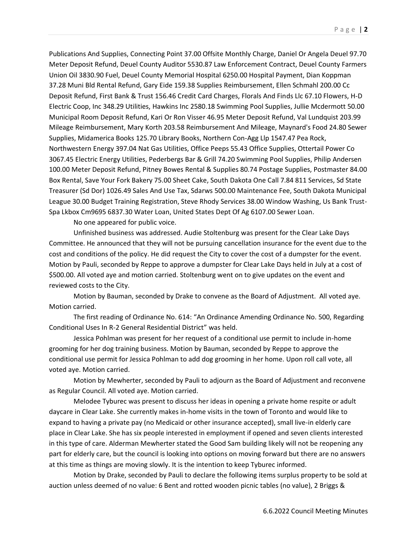Publications And Supplies, Connecting Point 37.00 Offsite Monthly Charge, Daniel Or Angela Deuel 97.70 Meter Deposit Refund, Deuel County Auditor 5530.87 Law Enforcement Contract, Deuel County Farmers Union Oil 3830.90 Fuel, Deuel County Memorial Hospital 6250.00 Hospital Payment, Dian Koppman 37.28 Muni Bld Rental Refund, Gary Eide 159.38 Supplies Reimbursement, Ellen Schmahl 200.00 Cc Deposit Refund, First Bank & Trust 156.46 Credit Card Charges, Florals And Finds Llc 67.10 Flowers, H-D Electric Coop, Inc 348.29 Utilities, Hawkins Inc 2580.18 Swimming Pool Supplies, Jullie Mcdermott 50.00 Municipal Room Deposit Refund, Kari Or Ron Visser 46.95 Meter Deposit Refund, Val Lundquist 203.99 Mileage Reimbursement, Mary Korth 203.58 Reimbursement And Mileage, Maynard's Food 24.80 Sewer Supplies, Midamerica Books 125.70 Library Books, Northern Con-Agg Llp 1547.47 Pea Rock, Northwestern Energy 397.04 Nat Gas Utilities, Office Peeps 55.43 Office Supplies, Ottertail Power Co 3067.45 Electric Energy Utilities, Pederbergs Bar & Grill 74.20 Swimming Pool Supplies, Philip Andersen 100.00 Meter Deposit Refund, Pitney Bowes Rental & Supplies 80.74 Postage Supplies, Postmaster 84.00 Box Rental, Save Your Fork Bakery 75.00 Sheet Cake, South Dakota One Call 7.84 811 Services, Sd State Treasurer (Sd Dor) 1026.49 Sales And Use Tax, Sdarws 500.00 Maintenance Fee, South Dakota Municipal League 30.00 Budget Training Registration, Steve Rhody Services 38.00 Window Washing, Us Bank Trust-Spa Lkbox Cm9695 6837.30 Water Loan, United States Dept Of Ag 6107.00 Sewer Loan.

No one appeared for public voice.

Unfinished business was addressed. Audie Stoltenburg was present for the Clear Lake Days Committee. He announced that they will not be pursuing cancellation insurance for the event due to the cost and conditions of the policy. He did request the City to cover the cost of a dumpster for the event. Motion by Pauli, seconded by Reppe to approve a dumpster for Clear Lake Days held in July at a cost of \$500.00. All voted aye and motion carried. Stoltenburg went on to give updates on the event and reviewed costs to the City.

Motion by Bauman, seconded by Drake to convene as the Board of Adjustment. All voted aye. Motion carried.

The first reading of Ordinance No. 614: "An Ordinance Amending Ordinance No. 500, Regarding Conditional Uses In R-2 General Residential District" was held.

Jessica Pohlman was present for her request of a conditional use permit to include in-home grooming for her dog training business. Motion by Bauman, seconded by Reppe to approve the conditional use permit for Jessica Pohlman to add dog grooming in her home. Upon roll call vote, all voted aye. Motion carried.

Motion by Mewherter, seconded by Pauli to adjourn as the Board of Adjustment and reconvene as Regular Council. All voted aye. Motion carried.

Melodee Tyburec was present to discuss her ideas in opening a private home respite or adult daycare in Clear Lake. She currently makes in-home visits in the town of Toronto and would like to expand to having a private pay (no Medicaid or other insurance accepted), small live-in elderly care place in Clear Lake. She has six people interested in employment if opened and seven clients interested in this type of care. Alderman Mewherter stated the Good Sam building likely will not be reopening any part for elderly care, but the council is looking into options on moving forward but there are no answers at this time as things are moving slowly. It is the intention to keep Tyburec informed.

Motion by Drake, seconded by Pauli to declare the following items surplus property to be sold at auction unless deemed of no value: 6 Bent and rotted wooden picnic tables (no value), 2 Briggs &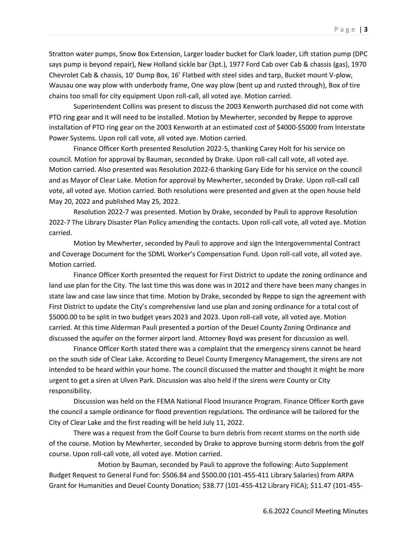Stratton water pumps, Snow Box Extension, Larger loader bucket for Clark loader, Lift station pump (DPC says pump is beyond repair), New Holland sickle bar (3pt.), 1977 Ford Cab over Cab & chassis (gas), 1970 Chevrolet Cab & chassis, 10' Dump Box, 16' Flatbed with steel sides and tarp, Bucket mount V-plow, Wausau one way plow with underbody frame, One way plow (bent up and rusted through), Box of tire chains too small for city equipment Upon roll-call, all voted aye. Motion carried.

Superintendent Collins was present to discuss the 2003 Kenworth purchased did not come with PTO ring gear and it will need to be installed. Motion by Mewherter, seconded by Reppe to approve installation of PTO ring gear on the 2003 Kenworth at an estimated cost of \$4000-\$5000 from Interstate Power Systems. Upon roll call vote, all voted aye. Motion carried.

Finance Officer Korth presented Resolution 2022-5, thanking Carey Holt for his service on council. Motion for approval by Bauman, seconded by Drake. Upon roll-call call vote, all voted aye. Motion carried. Also presented was Resolution 2022-6 thanking Gary Eide for his service on the council and as Mayor of Clear Lake. Motion for approval by Mewherter, seconded by Drake. Upon roll-call call vote, all voted aye. Motion carried. Both resolutions were presented and given at the open house held May 20, 2022 and published May 25, 2022.

Resolution 2022-7 was presented. Motion by Drake, seconded by Pauli to approve Resolution 2022-7 The Library Disaster Plan Policy amending the contacts. Upon roll-call vote, all voted aye. Motion carried.

Motion by Mewherter, seconded by Pauli to approve and sign the Intergovernmental Contract and Coverage Document for the SDML Worker's Compensation Fund. Upon roll-call vote, all voted aye. Motion carried.

Finance Officer Korth presented the request for First District to update the zoning ordinance and land use plan for the City. The last time this was done was in 2012 and there have been many changes in state law and case law since that time. Motion by Drake, seconded by Reppe to sign the agreement with First District to update the City's comprehensive land use plan and zoning ordinance for a total cost of \$5000.00 to be split in two budget years 2023 and 2023. Upon roll-call vote, all voted aye. Motion carried. At this time Alderman Pauli presented a portion of the Deuel County Zoning Ordinance and discussed the aquifer on the former airport land. Attorney Boyd was present for discussion as well.

Finance Officer Korth stated there was a complaint that the emergency sirens cannot be heard on the south side of Clear Lake. According to Deuel County Emergency Management, the sirens are not intended to be heard within your home. The council discussed the matter and thought it might be more urgent to get a siren at Ulven Park. Discussion was also held if the sirens were County or City responsibility.

Discussion was held on the FEMA National Flood Insurance Program. Finance Officer Korth gave the council a sample ordinance for flood prevention regulations. The ordinance will be tailored for the City of Clear Lake and the first reading will be held July 11, 2022.

There was a request from the Golf Course to burn debris from recent storms on the north side of the course. Motion by Mewherter, seconded by Drake to approve burning storm debris from the golf course. Upon roll-call vote, all voted aye. Motion carried.

Motion by Bauman, seconded by Pauli to approve the following: Auto Supplement Budget Request to General Fund for: \$506.84 and \$500.00 (101-455-411 Library Salaries) from ARPA Grant for Humanities and Deuel County Donation; \$38.77 (101-455-412 Library FICA); \$11.47 (101-455